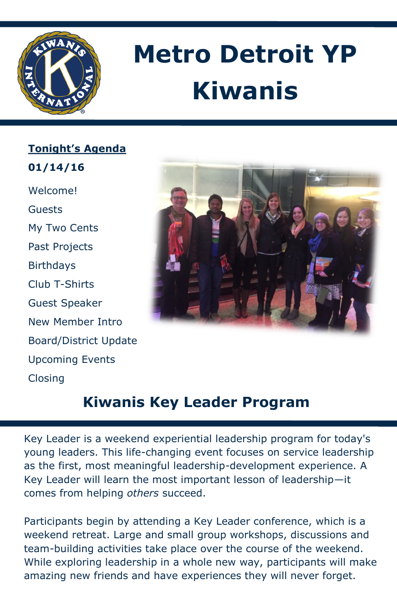

# **Metro Detroit YP Kiwanis**

**Tonight's Agenda 01/14/16**  Welcome! Guests My Two Cents Past Projects Birthdays Club T-Shirts Guest Speaker New Member Intro Board/District Update Upcoming Events Closing



## **Kiwanis Key Leader Program**

Key Leader is a weekend experiential leadership program for today's young leaders. This life-changing event focuses on service leadership as the first, most meaningful leadership-development experience. A Key Leader will learn the most important lesson of leadership—it comes from helping *others* succeed.

Participants begin by attending a Key Leader conference, which is a weekend retreat. Large and small group workshops, discussions and team-building activities take place over the course of the weekend. While exploring leadership in a whole new way, participants will make amazing new friends and have experiences they will never forget.